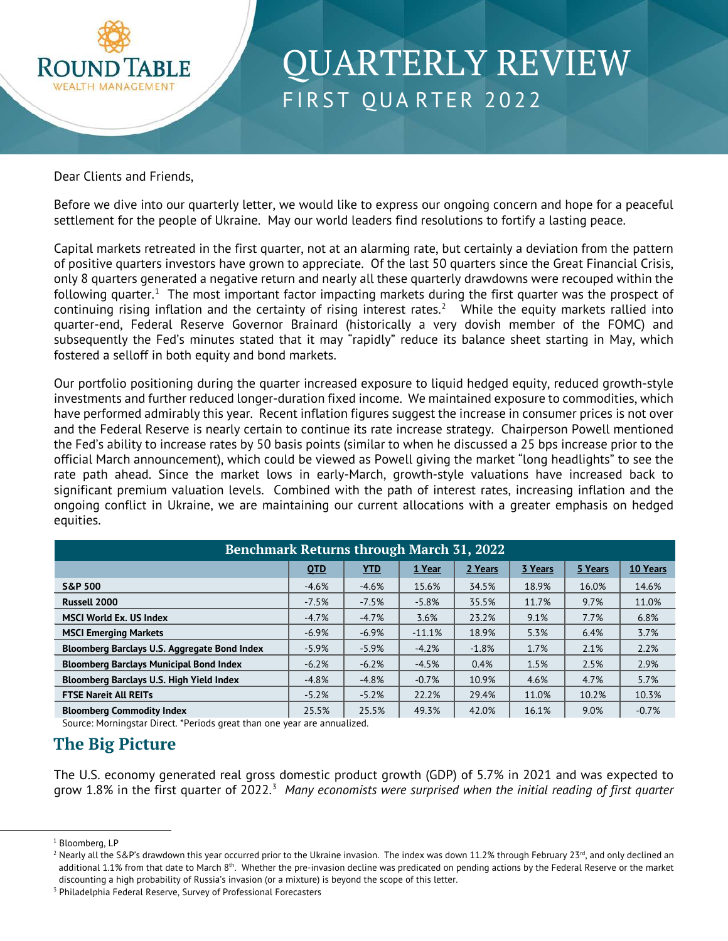

# **QUARTERLY REVIEW** FIRST QUARTER 2022

Dear Clients and Friends,

Before we dive into our quarterly letter, we would like to express our ongoing concern and hope for a peaceful settlement for the people of Ukraine. May our world leaders find resolutions to fortify a lasting peace.

Capital markets retreated in the first quarter, not at an alarming rate, but certainly a deviation from the pattern of positive quarters investors have grown to appreciate. Of the last 50 quarters since the Great Financial Crisis, only 8 quarters generated a negative return and nearly all these quarterly drawdowns were recouped within the following quarter. $1$  The most important factor impacting markets during the first quarter was the prospect of continuing rising inflation and the certainty of rising interest rates.<sup>[2](#page-0-1)</sup> While the equity markets rallied into quarter-end, Federal Reserve Governor Brainard (historically a very dovish member of the FOMC) and subsequently the Fed's minutes stated that it may "rapidly" reduce its balance sheet starting in May, which fostered a selloff in both equity and bond markets.

Our portfolio positioning during the quarter increased exposure to liquid hedged equity, reduced growth-style investments and further reduced longer-duration fixed income. We maintained exposure to commodities, which have performed admirably this year. Recent inflation figures suggest the increase in consumer prices is not over and the Federal Reserve is nearly certain to continue its rate increase strategy. Chairperson Powell mentioned the Fed's ability to increase rates by 50 basis points (similar to when he discussed a 25 bps increase prior to the official March announcement), which could be viewed as Powell giving the market "long headlights" to see the rate path ahead. Since the market lows in early-March, growth-style valuations have increased back to significant premium valuation levels. Combined with the path of interest rates, increasing inflation and the ongoing conflict in Ukraine, we are maintaining our current allocations with a greater emphasis on hedged equities.

| <b>Benchmark Returns through March 31, 2022</b> |         |            |          |         |         |         |          |  |  |
|-------------------------------------------------|---------|------------|----------|---------|---------|---------|----------|--|--|
|                                                 | QTD     | <b>YTD</b> | 1 Year   | 2 Years | 3 Years | 5 Years | 10 Years |  |  |
| <b>S&amp;P 500</b>                              | $-4.6%$ | $-4.6%$    | 15.6%    | 34.5%   | 18.9%   | 16.0%   | 14.6%    |  |  |
| Russell 2000                                    | $-7.5%$ | $-7.5%$    | $-5.8%$  | 35.5%   | 11.7%   | 9.7%    | 11.0%    |  |  |
| <b>MSCI World Ex. US Index</b>                  | $-4.7%$ | $-4.7%$    | 3.6%     | 23.2%   | 9.1%    | 7.7%    | 6.8%     |  |  |
| <b>MSCI Emerging Markets</b>                    | $-6.9%$ | $-6.9%$    | $-11.1%$ | 18.9%   | 5.3%    | 6.4%    | 3.7%     |  |  |
| Bloomberg Barclays U.S. Aggregate Bond Index    | $-5.9%$ | $-5.9%$    | $-4.2%$  | $-1.8%$ | 1.7%    | 2.1%    | 2.2%     |  |  |
| <b>Bloomberg Barclays Municipal Bond Index</b>  | $-6.2%$ | $-6.2%$    | $-4.5%$  | 0.4%    | 1.5%    | 2.5%    | 2.9%     |  |  |
| Bloomberg Barclays U.S. High Yield Index        | $-4.8%$ | $-4.8%$    | $-0.7%$  | 10.9%   | 4.6%    | 4.7%    | 5.7%     |  |  |
| <b>FTSE Nareit All REITs</b>                    | $-5.2%$ | $-5.2%$    | 22.2%    | 29.4%   | 11.0%   | 10.2%   | 10.3%    |  |  |
| <b>Bloomberg Commodity Index</b>                | 25.5%   | 25.5%      | 49.3%    | 42.0%   | 16.1%   | 9.0%    | $-0.7%$  |  |  |

Source: Morningstar Direct. \*Periods great than one year are annualized.

### **The Big Picture**

The U.S. economy generated real gross domestic product growth (GDP) of 5.7% in 2021 and was expected to grow 1.8% in the first quarter of 2022.<sup>[3](#page-0-2)</sup> Many economists were surprised when the initial reading of first quarter

<span id="page-0-0"></span><sup>&</sup>lt;sup>1</sup> Bloomberg, LP

<span id="page-0-1"></span><sup>&</sup>lt;sup>2</sup> Nearly all the S&P's drawdown this year occurred prior to the Ukraine invasion. The index was down 11.2% through February 23<sup>rd</sup>, and only declined an additional 1.1% from that date to March 8<sup>th</sup>. Whether the pre-invasion decline was predicated on pending actions by the Federal Reserve or the market discounting a high probability of Russia's invasion (or a mixture) is beyond the scope of this letter.

<span id="page-0-2"></span><sup>&</sup>lt;sup>3</sup> Philadelphia Federal Reserve, Survey of Professional Forecasters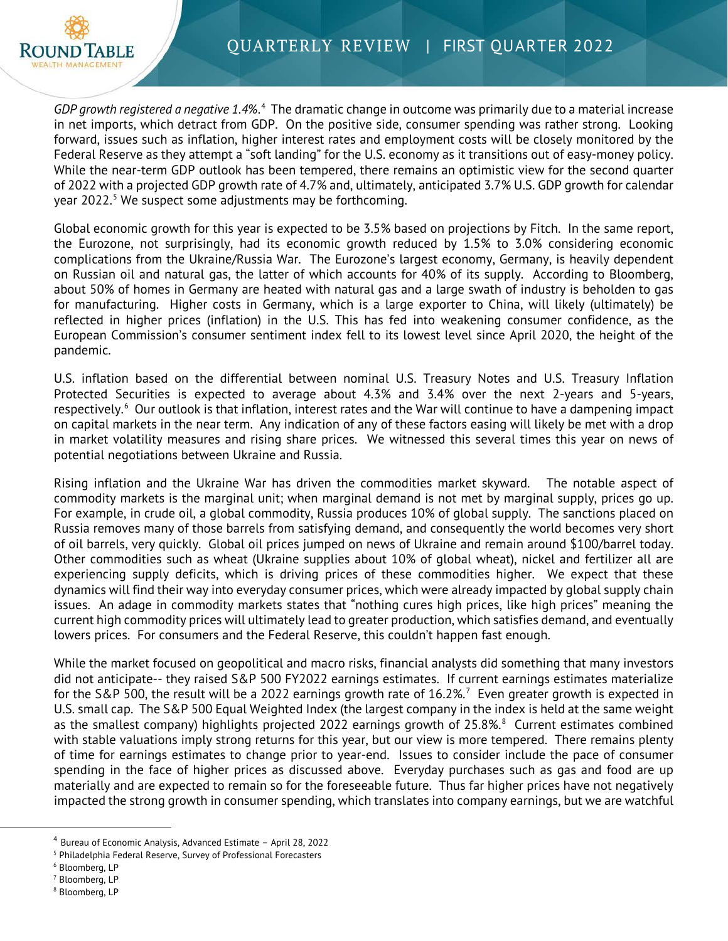

GDP growth registered a negative 1.[4](#page-1-0)%.<sup>4</sup> The dramatic change in outcome was primarily due to a material increase in net imports, which detract from GDP. On the positive side, consumer spending was rather strong. Looking forward, issues such as inflation, higher interest rates and employment costs will be closely monitored by the Federal Reserve as they attempt a "soft landing" for the U.S. economy as it transitions out of easy-money policy. While the near-term GDP outlook has been tempered, there remains an optimistic view for the second quarter of 2022 with a projected GDP growth rate of 4.7% and, ultimately, anticipated 3.7% U.S. GDP growth for calendar year 2022.<sup>[5](#page-1-1)</sup> We suspect some adjustments may be forthcoming.

Global economic growth for this year is expected to be 3.5% based on projections by Fitch. In the same report, the Eurozone, not surprisingly, had its economic growth reduced by 1.5% to 3.0% considering economic complications from the Ukraine/Russia War. The Eurozone's largest economy, Germany, is heavily dependent on Russian oil and natural gas, the latter of which accounts for 40% of its supply. According to Bloomberg, about 50% of homes in Germany are heated with natural gas and a large swath of industry is beholden to gas for manufacturing. Higher costs in Germany, which is a large exporter to China, will likely (ultimately) be reflected in higher prices (inflation) in the U.S. This has fed into weakening consumer confidence, as the European Commission's consumer sentiment index fell to its lowest level since April 2020, the height of the pandemic.

U.S. inflation based on the differential between nominal U.S. Treasury Notes and U.S. Treasury Inflation Protected Securities is expected to average about 4.3% and 3.4% over the next 2-years and 5-years, respectively.<sup>[6](#page-1-2)</sup> Our outlook is that inflation, interest rates and the War will continue to have a dampening impact on capital markets in the near term. Any indication of any of these factors easing will likely be met with a drop in market volatility measures and rising share prices. We witnessed this several times this year on news of potential negotiations between Ukraine and Russia.

Rising inflation and the Ukraine War has driven the commodities market skyward. The notable aspect of commodity markets is the marginal unit; when marginal demand is not met by marginal supply, prices go up. For example, in crude oil, a global commodity, Russia produces 10% of global supply. The sanctions placed on Russia removes many of those barrels from satisfying demand, and consequently the world becomes very short of oil barrels, very quickly. Global oil prices jumped on news of Ukraine and remain around \$100/barrel today. Other commodities such as wheat (Ukraine supplies about 10% of global wheat), nickel and fertilizer all are experiencing supply deficits, which is driving prices of these commodities higher. We expect that these dynamics will find their way into everyday consumer prices, which were already impacted by global supply chain issues. An adage in commodity markets states that "nothing cures high prices, like high prices" meaning the current high commodity prices will ultimately lead to greater production, which satisfies demand, and eventually lowers prices. For consumers and the Federal Reserve, this couldn't happen fast enough.

While the market focused on geopolitical and macro risks, financial analysts did something that many investors did not anticipate-- they raised S&P 500 FY2022 earnings estimates. If current earnings estimates materialize for the S&P 500, the result will be a 2022 earnings growth rate of 16.2%.<sup>[7](#page-1-3)</sup> Even greater growth is expected in U.S. small cap. The S&P 500 Equal Weighted Index (the largest company in the index is held at the same weight as the smallest company) highlights projected 2022 earnings growth of 25.[8](#page-1-4)%. $8$  Current estimates combined with stable valuations imply strong returns for this year, but our view is more tempered. There remains plenty of time for earnings estimates to change prior to year-end. Issues to consider include the pace of consumer spending in the face of higher prices as discussed above. Everyday purchases such as gas and food are up materially and are expected to remain so for the foreseeable future. Thus far higher prices have not negatively impacted the strong growth in consumer spending, which translates into company earnings, but we are watchful

<span id="page-1-0"></span><sup>4</sup> Bureau of Economic Analysis, Advanced Estimate – April 28, 2022

<span id="page-1-1"></span><sup>5</sup> Philadelphia Federal Reserve, Survey of Professional Forecasters

<span id="page-1-2"></span><sup>6</sup> Bloomberg, LP

<span id="page-1-3"></span><sup>7</sup> Bloomberg, LP

<span id="page-1-4"></span><sup>8</sup> Bloomberg, LP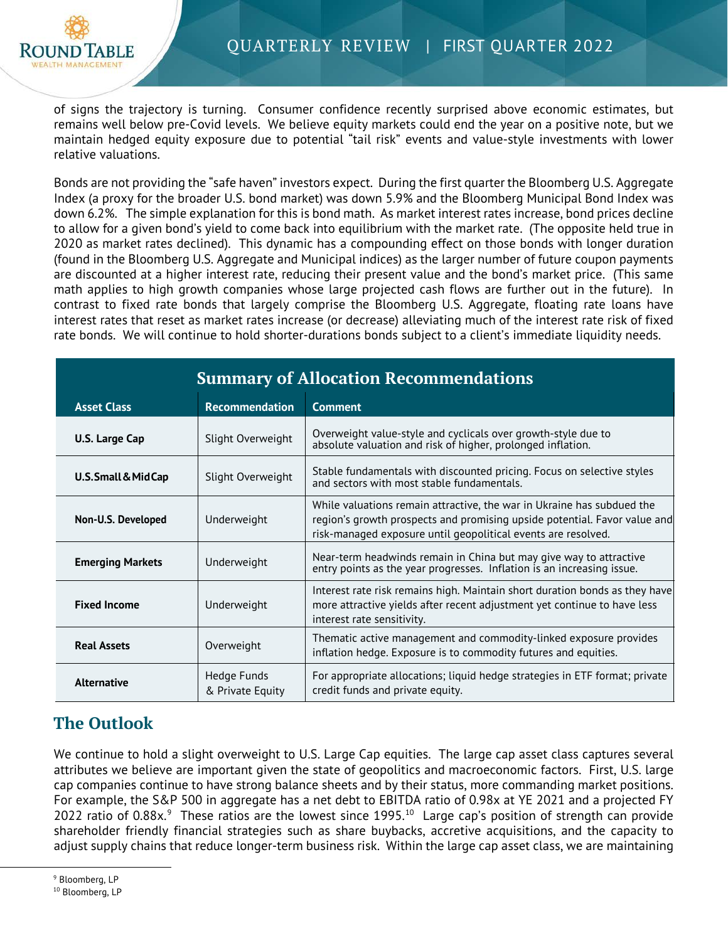

of signs the trajectory is turning. Consumer confidence recently surprised above economic estimates, but remains well below pre-Covid levels. We believe equity markets could end the year on a positive note, but we maintain hedged equity exposure due to potential "tail risk" events and value-style investments with lower relative valuations.

Bonds are not providing the "safe haven" investors expect. During the first quarter the Bloomberg U.S. Aggregate Index (a proxy for the broader U.S. bond market) was down 5.9% and the Bloomberg Municipal Bond Index was down 6.2%. The simple explanation for this is bond math. As market interest rates increase, bond prices decline to allow for a given bond's yield to come back into equilibrium with the market rate. (The opposite held true in 2020 as market rates declined). This dynamic has a compounding effect on those bonds with longer duration (found in the Bloomberg U.S. Aggregate and Municipal indices) as the larger number of future coupon payments are discounted at a higher interest rate, reducing their present value and the bond's market price. (This same math applies to high growth companies whose large projected cash flows are further out in the future). In contrast to fixed rate bonds that largely comprise the Bloomberg U.S. Aggregate, floating rate loans have interest rates that reset as market rates increase (or decrease) alleviating much of the interest rate risk of fixed rate bonds. We will continue to hold shorter-durations bonds subject to a client's immediate liquidity needs.

| <b>Summary of Allocation Recommendations</b> |                                 |                                                                                                                                                                                                                      |  |  |  |
|----------------------------------------------|---------------------------------|----------------------------------------------------------------------------------------------------------------------------------------------------------------------------------------------------------------------|--|--|--|
| <b>Asset Class</b>                           | <b>Recommendation</b>           | <b>Comment</b>                                                                                                                                                                                                       |  |  |  |
| U.S. Large Cap                               | Slight Overweight               | Overweight value-style and cyclicals over growth-style due to<br>absolute valuation and risk of higher, prolonged inflation.                                                                                         |  |  |  |
| U.S. Small & MidCap                          | Slight Overweight               | Stable fundamentals with discounted pricing. Focus on selective styles<br>and sectors with most stable fundamentals.                                                                                                 |  |  |  |
| Non-U.S. Developed                           | Underweight                     | While valuations remain attractive, the war in Ukraine has subdued the<br>region's growth prospects and promising upside potential. Favor value and<br>risk-managed exposure until geopolitical events are resolved. |  |  |  |
| <b>Emerging Markets</b>                      | Underweight                     | Near-term headwinds remain in China but may give way to attractive<br>entry points as the year progresses. Inflation is an increasing issue.                                                                         |  |  |  |
| <b>Fixed Income</b>                          | Underweight                     | Interest rate risk remains high. Maintain short duration bonds as they have<br>more attractive yields after recent adjustment yet continue to have less<br>interest rate sensitivity.                                |  |  |  |
| <b>Real Assets</b>                           | Overweight                      | Thematic active management and commodity-linked exposure provides<br>inflation hedge. Exposure is to commodity futures and equities.                                                                                 |  |  |  |
| <b>Alternative</b>                           | Hedge Funds<br>& Private Equity | For appropriate allocations; liquid hedge strategies in ETF format; private<br>credit funds and private equity.                                                                                                      |  |  |  |

## **The Outlook**

We continue to hold a slight overweight to U.S. Large Cap equities. The large cap asset class captures several attributes we believe are important given the state of geopolitics and macroeconomic factors. First, U.S. large cap companies continue to have strong balance sheets and by their status, more commanding market positions. For example, the S&P 500 in aggregate has a net debt to EBITDA ratio of 0.98x at YE 2021 and a projected FY 2022 ratio of 0.88 $x$ .<sup>[9](#page-2-0)</sup> These ratios are the lowest since 1995.<sup>[10](#page-2-1)</sup> Large cap's position of strength can provide shareholder friendly financial strategies such as share buybacks, accretive acquisitions, and the capacity to adjust supply chains that reduce longer-term business risk. Within the large cap asset class, we are maintaining

<span id="page-2-0"></span><sup>&</sup>lt;sup>9</sup> Bloomberg, LP

<span id="page-2-1"></span><sup>&</sup>lt;sup>10</sup> Bloomberg, LP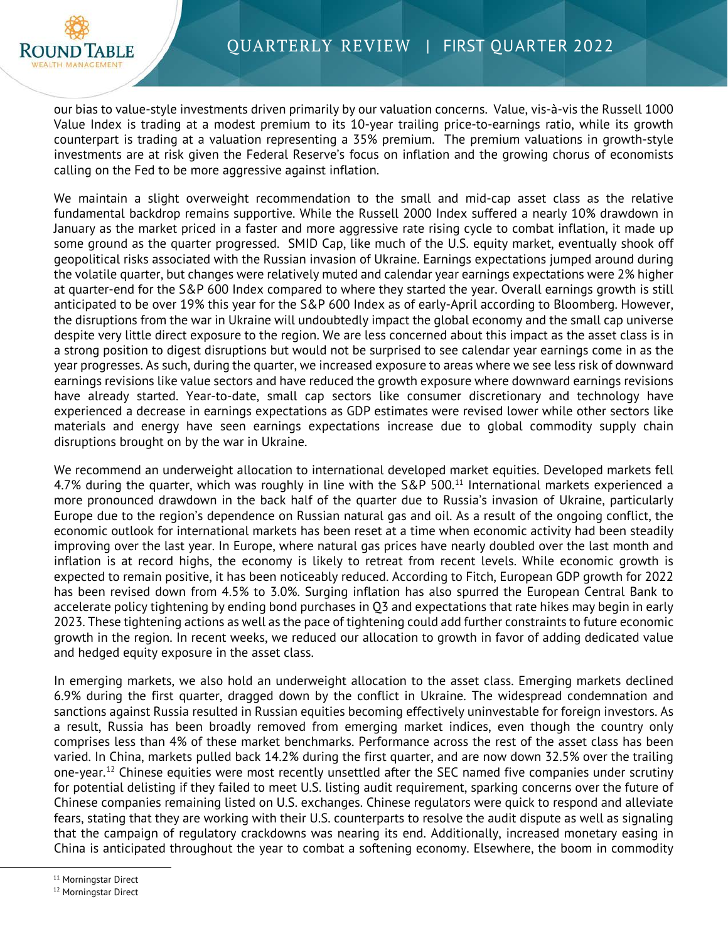

our bias to value-style investments driven primarily by our valuation concerns. Value, vis-à-vis the Russell 1000 Value Index is trading at a modest premium to its 10-year trailing price-to-earnings ratio, while its growth counterpart is trading at a valuation representing a 35% premium. The premium valuations in growth-style investments are at risk given the Federal Reserve's focus on inflation and the growing chorus of economists calling on the Fed to be more aggressive against inflation.

We maintain a slight overweight recommendation to the small and mid-cap asset class as the relative fundamental backdrop remains supportive. While the Russell 2000 Index suffered a nearly 10% drawdown in January as the market priced in a faster and more aggressive rate rising cycle to combat inflation, it made up some ground as the quarter progressed. SMID Cap, like much of the U.S. equity market, eventually shook off geopolitical risks associated with the Russian invasion of Ukraine. Earnings expectations jumped around during the volatile quarter, but changes were relatively muted and calendar year earnings expectations were 2% higher at quarter-end for the S&P 600 Index compared to where they started the year. Overall earnings growth is still anticipated to be over 19% this year for the S&P 600 Index as of early-April according to Bloomberg. However, the disruptions from the war in Ukraine will undoubtedly impact the global economy and the small cap universe despite very little direct exposure to the region. We are less concerned about this impact as the asset class is in a strong position to digest disruptions but would not be surprised to see calendar year earnings come in as the year progresses. As such, during the quarter, we increased exposure to areas where we see less risk of downward earnings revisions like value sectors and have reduced the growth exposure where downward earnings revisions have already started. Year-to-date, small cap sectors like consumer discretionary and technology have experienced a decrease in earnings expectations as GDP estimates were revised lower while other sectors like materials and energy have seen earnings expectations increase due to global commodity supply chain disruptions brought on by the war in Ukraine.

We recommend an underweight allocation to international developed market equities. Developed markets fell 4.7% during the quarter, which was roughly in line with the S&P 500. $^{11}$  $^{11}$  $^{11}$  International markets experienced a more pronounced drawdown in the back half of the quarter due to Russia's invasion of Ukraine, particularly Europe due to the region's dependence on Russian natural gas and oil. As a result of the ongoing conflict, the economic outlook for international markets has been reset at a time when economic activity had been steadily improving over the last year. In Europe, where natural gas prices have nearly doubled over the last month and inflation is at record highs, the economy is likely to retreat from recent levels. While economic growth is expected to remain positive, it has been noticeably reduced. According to Fitch, European GDP growth for 2022 has been revised down from 4.5% to 3.0%. Surging inflation has also spurred the European Central Bank to accelerate policy tightening by ending bond purchases in Q3 and expectations that rate hikes may begin in early 2023. These tightening actions as well as the pace of tightening could add further constraints to future economic growth in the region. In recent weeks, we reduced our allocation to growth in favor of adding dedicated value and hedged equity exposure in the asset class.

In emerging markets, we also hold an underweight allocation to the asset class. Emerging markets declined 6.9% during the first quarter, dragged down by the conflict in Ukraine. The widespread condemnation and sanctions against Russia resulted in Russian equities becoming effectively uninvestable for foreign investors. As a result, Russia has been broadly removed from emerging market indices, even though the country only comprises less than 4% of these market benchmarks. Performance across the rest of the asset class has been varied. In China, markets pulled back 14.2% during the first quarter, and are now down 32.5% over the trailing one-year.<sup>[12](#page-3-1)</sup> Chinese equities were most recently unsettled after the SEC named five companies under scrutiny for potential delisting if they failed to meet U.S. listing audit requirement, sparking concerns over the future of Chinese companies remaining listed on U.S. exchanges. Chinese regulators were quick to respond and alleviate fears, stating that they are working with their U.S. counterparts to resolve the audit dispute as well as signaling that the campaign of regulatory crackdowns was nearing its end. Additionally, increased monetary easing in China is anticipated throughout the year to combat a softening economy. Elsewhere, the boom in commodity

<span id="page-3-1"></span><span id="page-3-0"></span><sup>11</sup> Morningstar Direct

<sup>12</sup> Morningstar Direct